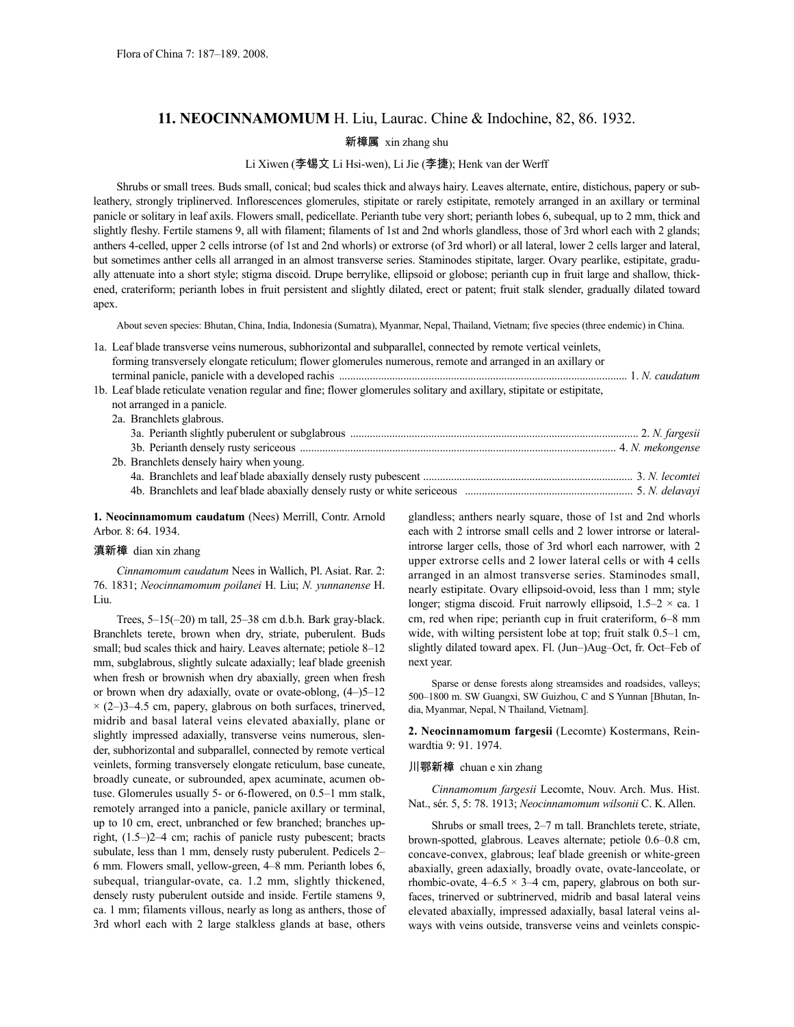# **11. NEOCINNAMOMUM** H. Liu, Laurac. Chine & Indochine, 82, 86. 1932.

## 新樟属 xin zhang shu

## Li Xiwen (李锡文 Li Hsi-wen), Li Jie (李捷); Henk van der Werff

Shrubs or small trees. Buds small, conical; bud scales thick and always hairy. Leaves alternate, entire, distichous, papery or subleathery, strongly triplinerved. Inflorescences glomerules, stipitate or rarely estipitate, remotely arranged in an axillary or terminal panicle or solitary in leaf axils. Flowers small, pedicellate. Perianth tube very short; perianth lobes 6, subequal, up to 2 mm, thick and slightly fleshy. Fertile stamens 9, all with filament; filaments of 1st and 2nd whorls glandless, those of 3rd whorl each with 2 glands; anthers 4-celled, upper 2 cells introrse (of 1st and 2nd whorls) or extrorse (of 3rd whorl) or all lateral, lower 2 cells larger and lateral, but sometimes anther cells all arranged in an almost transverse series. Staminodes stipitate, larger. Ovary pearlike, estipitate, gradually attenuate into a short style; stigma discoid. Drupe berrylike, ellipsoid or globose; perianth cup in fruit large and shallow, thickened, crateriform; perianth lobes in fruit persistent and slightly dilated, erect or patent; fruit stalk slender, gradually dilated toward apex.

About seven species: Bhutan, China, India, Indonesia (Sumatra), Myanmar, Nepal, Thailand, Vietnam; five species (three endemic) in China.

| 1a. Leaf blade transverse veins numerous, subhorizontal and subparallel, connected by remote vertical veinlets,<br>forming transversely elongate reticulum; flower glomerules numerous, remote and arranged in an axillary or |  |
|-------------------------------------------------------------------------------------------------------------------------------------------------------------------------------------------------------------------------------|--|
|                                                                                                                                                                                                                               |  |
| 1b. Leaf blade reticulate venation regular and fine; flower glomerules solitary and axillary, stipitate or estipitate,                                                                                                        |  |
| not arranged in a panicle.                                                                                                                                                                                                    |  |
| 2a. Branchlets glabrous.                                                                                                                                                                                                      |  |
|                                                                                                                                                                                                                               |  |
|                                                                                                                                                                                                                               |  |
| 2b. Branchlets densely hairy when young.                                                                                                                                                                                      |  |
|                                                                                                                                                                                                                               |  |
|                                                                                                                                                                                                                               |  |
|                                                                                                                                                                                                                               |  |

**1. Neocinnamomum caudatum** (Nees) Merrill, Contr. Arnold Arbor. 8: 64. 1934.

## 滇新樟 dian xin zhang

*Cinnamomum caudatum* Nees in Wallich, Pl. Asiat. Rar. 2: 76. 1831; *Neocinnamomum poilanei* H. Liu; *N. yunnanense* H. Liu.

Trees, 5–15(–20) m tall, 25–38 cm d.b.h. Bark gray-black. Branchlets terete, brown when dry, striate, puberulent. Buds small; bud scales thick and hairy. Leaves alternate; petiole 8–12 mm, subglabrous, slightly sulcate adaxially; leaf blade greenish when fresh or brownish when dry abaxially, green when fresh or brown when dry adaxially, ovate or ovate-oblong, (4–)5–12  $\times$  (2–)3–4.5 cm, papery, glabrous on both surfaces, trinerved, midrib and basal lateral veins elevated abaxially, plane or slightly impressed adaxially, transverse veins numerous, slender, subhorizontal and subparallel, connected by remote vertical veinlets, forming transversely elongate reticulum, base cuneate, broadly cuneate, or subrounded, apex acuminate, acumen obtuse. Glomerules usually 5- or 6-flowered, on 0.5–1 mm stalk, remotely arranged into a panicle, panicle axillary or terminal, up to 10 cm, erect, unbranched or few branched; branches upright, (1.5–)2–4 cm; rachis of panicle rusty pubescent; bracts subulate, less than 1 mm, densely rusty puberulent. Pedicels 2– 6 mm. Flowers small, yellow-green, 4–8 mm. Perianth lobes 6, subequal, triangular-ovate, ca. 1.2 mm, slightly thickened, densely rusty puberulent outside and inside. Fertile stamens 9, ca. 1 mm; filaments villous, nearly as long as anthers, those of 3rd whorl each with 2 large stalkless glands at base, others

glandless; anthers nearly square, those of 1st and 2nd whorls each with 2 introrse small cells and 2 lower introrse or lateralintrorse larger cells, those of 3rd whorl each narrower, with 2 upper extrorse cells and 2 lower lateral cells or with 4 cells arranged in an almost transverse series. Staminodes small, nearly estipitate. Ovary ellipsoid-ovoid, less than 1 mm; style longer; stigma discoid. Fruit narrowly ellipsoid, 1.5–2 × ca. 1 cm, red when ripe; perianth cup in fruit crateriform, 6–8 mm wide, with wilting persistent lobe at top; fruit stalk 0.5–1 cm, slightly dilated toward apex. Fl. (Jun–)Aug–Oct, fr. Oct–Feb of next year.

Sparse or dense forests along streamsides and roadsides, valleys; 500–1800 m. SW Guangxi, SW Guizhou, C and S Yunnan [Bhutan, India, Myanmar, Nepal, N Thailand, Vietnam].

**2. Neocinnamomum fargesii** (Lecomte) Kostermans, Reinwardtia 9: 91. 1974.

## 川鄂新樟 chuan e xin zhang

*Cinnamomum fargesii* Lecomte, Nouv. Arch. Mus. Hist. Nat., sér. 5, 5: 78. 1913; *Neocinnamomum wilsonii* C. K. Allen.

Shrubs or small trees, 2–7 m tall. Branchlets terete, striate, brown-spotted, glabrous. Leaves alternate; petiole 0.6–0.8 cm, concave-convex, glabrous; leaf blade greenish or white-green abaxially, green adaxially, broadly ovate, ovate-lanceolate, or rhombic-ovate,  $4-6.5 \times 3-4$  cm, papery, glabrous on both surfaces, trinerved or subtrinerved, midrib and basal lateral veins elevated abaxially, impressed adaxially, basal lateral veins always with veins outside, transverse veins and veinlets conspic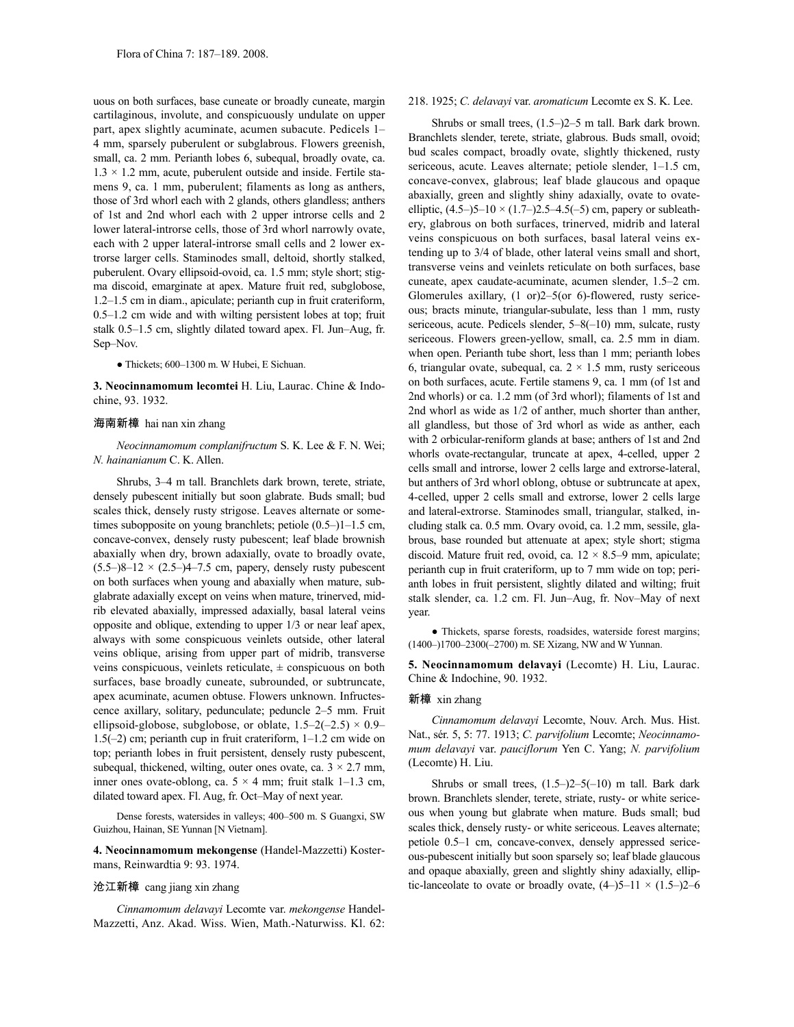uous on both surfaces, base cuneate or broadly cuneate, margin cartilaginous, involute, and conspicuously undulate on upper part, apex slightly acuminate, acumen subacute. Pedicels 1– 4 mm, sparsely puberulent or subglabrous. Flowers greenish, small, ca. 2 mm. Perianth lobes 6, subequal, broadly ovate, ca.  $1.3 \times 1.2$  mm, acute, puberulent outside and inside. Fertile stamens 9, ca. 1 mm, puberulent; filaments as long as anthers, those of 3rd whorl each with 2 glands, others glandless; anthers of 1st and 2nd whorl each with 2 upper introrse cells and 2 lower lateral-introrse cells, those of 3rd whorl narrowly ovate, each with 2 upper lateral-introrse small cells and 2 lower extrorse larger cells. Staminodes small, deltoid, shortly stalked, puberulent. Ovary ellipsoid-ovoid, ca. 1.5 mm; style short; stigma discoid, emarginate at apex. Mature fruit red, subglobose, 1.2–1.5 cm in diam., apiculate; perianth cup in fruit crateriform, 0.5–1.2 cm wide and with wilting persistent lobes at top; fruit stalk 0.5–1.5 cm, slightly dilated toward apex. Fl. Jun–Aug, fr. Sep–Nov.

● Thickets; 600–1300 m. W Hubei, E Sichuan.

**3. Neocinnamomum lecomtei** H. Liu, Laurac. Chine & Indochine, 93. 1932.

#### 海南新樟 hai nan xin zhang

*Neocinnamomum complanifructum* S. K. Lee & F. N. Wei; *N. hainanianum* C. K. Allen.

Shrubs, 3–4 m tall. Branchlets dark brown, terete, striate, densely pubescent initially but soon glabrate. Buds small; bud scales thick, densely rusty strigose. Leaves alternate or sometimes subopposite on young branchlets; petiole (0.5–)1–1.5 cm, concave-convex, densely rusty pubescent; leaf blade brownish abaxially when dry, brown adaxially, ovate to broadly ovate,  $(5.5-8-12 \times (2.5-4-7.5)$  cm, papery, densely rusty pubescent on both surfaces when young and abaxially when mature, subglabrate adaxially except on veins when mature, trinerved, midrib elevated abaxially, impressed adaxially, basal lateral veins opposite and oblique, extending to upper 1/3 or near leaf apex, always with some conspicuous veinlets outside, other lateral veins oblique, arising from upper part of midrib, transverse veins conspicuous, veinlets reticulate,  $\pm$  conspicuous on both surfaces, base broadly cuneate, subrounded, or subtruncate, apex acuminate, acumen obtuse. Flowers unknown. Infructescence axillary, solitary, pedunculate; peduncle 2–5 mm. Fruit ellipsoid-globose, subglobose, or oblate,  $1.5-2(-2.5) \times 0.9-$ 1.5(–2) cm; perianth cup in fruit crateriform, 1–1.2 cm wide on top; perianth lobes in fruit persistent, densely rusty pubescent, subequal, thickened, wilting, outer ones ovate, ca.  $3 \times 2.7$  mm, inner ones ovate-oblong, ca.  $5 \times 4$  mm; fruit stalk 1–1.3 cm, dilated toward apex. Fl. Aug, fr. Oct–May of next year.

Dense forests, watersides in valleys; 400–500 m. S Guangxi, SW Guizhou, Hainan, SE Yunnan [N Vietnam].

**4. Neocinnamomum mekongense** (Handel-Mazzetti) Kostermans, Reinwardtia 9: 93. 1974.

## 沧江新樟 cang jiang xin zhang

*Cinnamomum delavayi* Lecomte var. *mekongense* Handel-Mazzetti, Anz. Akad. Wiss. Wien, Math.-Naturwiss. Kl. 62:

#### 218. 1925; *C. delavayi* var. *aromaticum* Lecomte ex S. K. Lee.

Shrubs or small trees, (1.5–)2–5 m tall. Bark dark brown. Branchlets slender, terete, striate, glabrous. Buds small, ovoid; bud scales compact, broadly ovate, slightly thickened, rusty sericeous, acute. Leaves alternate; petiole slender, 1–1.5 cm, concave-convex, glabrous; leaf blade glaucous and opaque abaxially, green and slightly shiny adaxially, ovate to ovateelliptic,  $(4.5-5-10 \times (1.7-2.5-4.5(-5))$  cm, papery or subleathery, glabrous on both surfaces, trinerved, midrib and lateral veins conspicuous on both surfaces, basal lateral veins extending up to 3/4 of blade, other lateral veins small and short, transverse veins and veinlets reticulate on both surfaces, base cuneate, apex caudate-acuminate, acumen slender, 1.5–2 cm. Glomerules axillary, (1 or)2–5(or 6)-flowered, rusty sericeous; bracts minute, triangular-subulate, less than 1 mm, rusty sericeous, acute. Pedicels slender, 5–8(–10) mm, sulcate, rusty sericeous. Flowers green-yellow, small, ca. 2.5 mm in diam. when open. Perianth tube short, less than 1 mm; perianth lobes 6, triangular ovate, subequal, ca.  $2 \times 1.5$  mm, rusty sericeous on both surfaces, acute. Fertile stamens 9, ca. 1 mm (of 1st and 2nd whorls) or ca. 1.2 mm (of 3rd whorl); filaments of 1st and 2nd whorl as wide as 1/2 of anther, much shorter than anther, all glandless, but those of 3rd whorl as wide as anther, each with 2 orbicular-reniform glands at base; anthers of 1st and 2nd whorls ovate-rectangular, truncate at apex, 4-celled, upper 2 cells small and introrse, lower 2 cells large and extrorse-lateral, but anthers of 3rd whorl oblong, obtuse or subtruncate at apex, 4-celled, upper 2 cells small and extrorse, lower 2 cells large and lateral-extrorse. Staminodes small, triangular, stalked, including stalk ca. 0.5 mm. Ovary ovoid, ca. 1.2 mm, sessile, glabrous, base rounded but attenuate at apex; style short; stigma discoid. Mature fruit red, ovoid, ca.  $12 \times 8.5-9$  mm, apiculate; perianth cup in fruit crateriform, up to 7 mm wide on top; perianth lobes in fruit persistent, slightly dilated and wilting; fruit stalk slender, ca. 1.2 cm. Fl. Jun–Aug, fr. Nov–May of next year.

● Thickets, sparse forests, roadsides, waterside forest margins; (1400–)1700–2300(–2700) m. SE Xizang, NW and W Yunnan.

**5. Neocinnamomum delavayi** (Lecomte) H. Liu, Laurac. Chine & Indochine, 90. 1932.

#### 新樟 xin zhang

*Cinnamomum delavayi* Lecomte, Nouv. Arch. Mus. Hist. Nat., sér. 5, 5: 77. 1913; *C. parvifolium* Lecomte; *Neocinnamomum delavayi* var. *pauciflorum* Yen C. Yang; *N. parvifolium* (Lecomte) H. Liu.

Shrubs or small trees,  $(1.5-25(-10))$  m tall. Bark dark brown. Branchlets slender, terete, striate, rusty- or white sericeous when young but glabrate when mature. Buds small; bud scales thick, densely rusty- or white sericeous. Leaves alternate; petiole 0.5–1 cm, concave-convex, densely appressed sericeous-pubescent initially but soon sparsely so; leaf blade glaucous and opaque abaxially, green and slightly shiny adaxially, elliptic-lanceolate to ovate or broadly ovate,  $(4-)$ 5–11 ×  $(1.5-)$ 2–6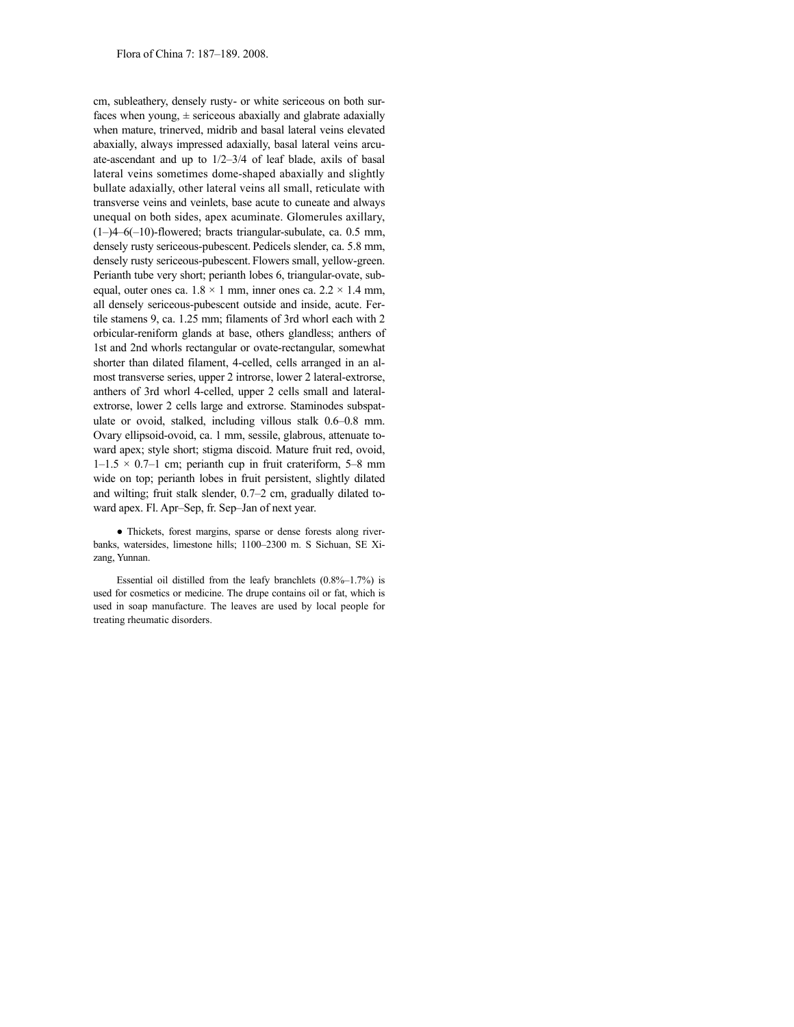cm, subleathery, densely rusty- or white sericeous on both surfaces when young,  $\pm$  sericeous abaxially and glabrate adaxially when mature, trinerved, midrib and basal lateral veins elevated abaxially, always impressed adaxially, basal lateral veins arcuate-ascendant and up to 1/2–3/4 of leaf blade, axils of basal lateral veins sometimes dome-shaped abaxially and slightly bullate adaxially, other lateral veins all small, reticulate with transverse veins and veinlets, base acute to cuneate and always unequal on both sides, apex acuminate. Glomerules axillary,  $(1–)4–6(-10)$ -flowered; bracts triangular-subulate, ca. 0.5 mm, densely rusty sericeous-pubescent. Pedicels slender, ca. 5.8 mm, densely rusty sericeous-pubescent. Flowers small, yellow-green. Perianth tube very short; perianth lobes 6, triangular-ovate, subequal, outer ones ca.  $1.8 \times 1$  mm, inner ones ca.  $2.2 \times 1.4$  mm, all densely sericeous-pubescent outside and inside, acute. Fertile stamens 9, ca. 1.25 mm; filaments of 3rd whorl each with 2 orbicular-reniform glands at base, others glandless; anthers of 1st and 2nd whorls rectangular or ovate-rectangular, somewhat shorter than dilated filament, 4-celled, cells arranged in an almost transverse series, upper 2 introrse, lower 2 lateral-extrorse, anthers of 3rd whorl 4-celled, upper 2 cells small and lateralextrorse, lower 2 cells large and extrorse. Staminodes subspatulate or ovoid, stalked, including villous stalk 0.6–0.8 mm. Ovary ellipsoid-ovoid, ca. 1 mm, sessile, glabrous, attenuate toward apex; style short; stigma discoid. Mature fruit red, ovoid,  $1-1.5 \times 0.7-1$  cm; perianth cup in fruit crateriform, 5–8 mm wide on top; perianth lobes in fruit persistent, slightly dilated and wilting; fruit stalk slender, 0.7–2 cm, gradually dilated toward apex. Fl. Apr–Sep, fr. Sep–Jan of next year.

● Thickets, forest margins, sparse or dense forests along riverbanks, watersides, limestone hills; 1100–2300 m. S Sichuan, SE Xizang, Yunnan.

Essential oil distilled from the leafy branchlets  $(0.8\% -1.7\%)$  is used for cosmetics or medicine. The drupe contains oil or fat, which is used in soap manufacture. The leaves are used by local people for treating rheumatic disorders.